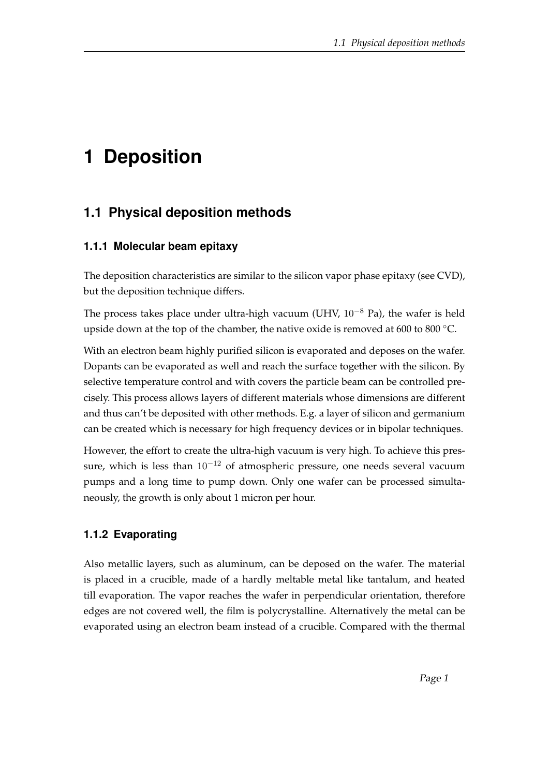# **1 Deposition**

## **1.1 Physical deposition methods**

#### **1.1.1 Molecular beam epitaxy**

The deposition characteristics are similar to the silicon vapor phase epitaxy (see CVD), but the deposition technique differs.

The process takes place under ultra-high vacuum (UHV, 10−<sup>8</sup> Pa), the wafer is held upside down at the top of the chamber, the native oxide is removed at 600 to 800 ◦C.

With an electron beam highly purified silicon is evaporated and deposes on the wafer. Dopants can be evaporated as well and reach the surface together with the silicon. By selective temperature control and with covers the particle beam can be controlled precisely. This process allows layers of different materials whose dimensions are different and thus can't be deposited with other methods. E.g. a layer of silicon and germanium can be created which is necessary for high frequency devices or in bipolar techniques.

However, the effort to create the ultra-high vacuum is very high. To achieve this pressure, which is less than  $10^{-12}$  of atmospheric pressure, one needs several vacuum pumps and a long time to pump down. Only one wafer can be processed simultaneously, the growth is only about 1 micron per hour.

### **1.1.2 Evaporating**

Also metallic layers, such as aluminum, can be deposed on the wafer. The material is placed in a crucible, made of a hardly meltable metal like tantalum, and heated till evaporation. The vapor reaches the wafer in perpendicular orientation, therefore edges are not covered well, the film is polycrystalline. Alternatively the metal can be evaporated using an electron beam instead of a crucible. Compared with the thermal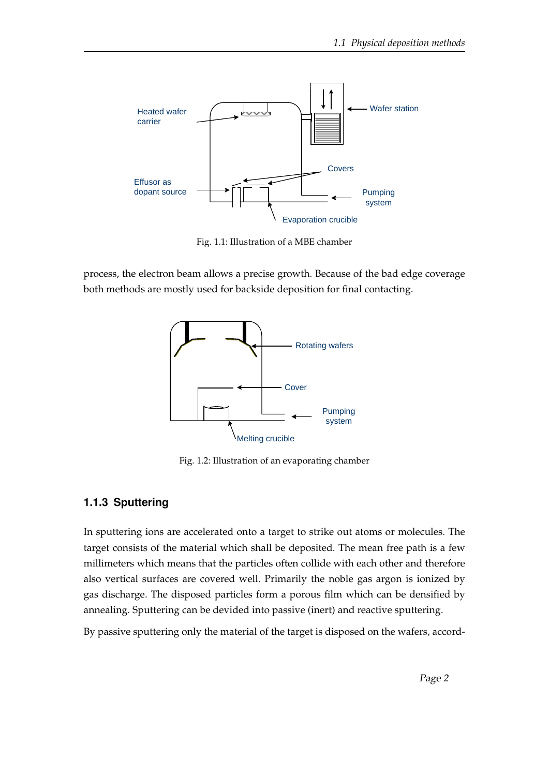

Fig. 1.1: Illustration of a MBE chamber

process, the electron beam allows a precise growth. Because of the bad edge coverage both methods are mostly used for backside deposition for final contacting.



Fig. 1.2: Illustration of an evaporating chamber

#### **1.1.3 Sputtering**

In sputtering ions are accelerated onto a target to strike out atoms or molecules. The target consists of the material which shall be deposited. The mean free path is a few millimeters which means that the particles often collide with each other and therefore also vertical surfaces are covered well. Primarily the noble gas argon is ionized by gas discharge. The disposed particles form a porous film which can be densified by annealing. Sputtering can be devided into passive (inert) and reactive sputtering.

By passive sputtering only the material of the target is disposed on the wafers, accord-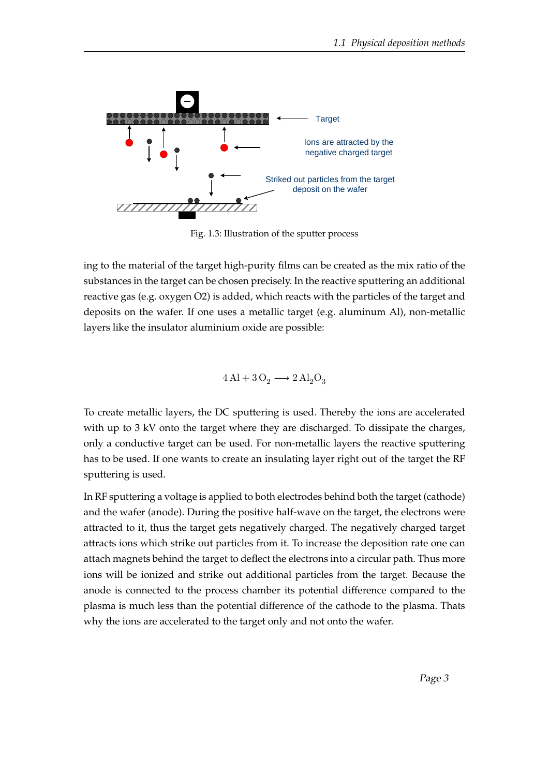

Fig. 1.3: Illustration of the sputter process

ing to the material of the target high-purity films can be created as the mix ratio of the substances in the target can be chosen precisely. In the reactive sputtering an additional reactive gas (e.g. oxygen O2) is added, which reacts with the particles of the target and deposits on the wafer. If one uses a metallic target (e.g. aluminum Al), non-metallic layers like the insulator aluminium oxide are possible:

$$
4\,\mathrm{Al} + 3\,\mathrm{O}_2 \longrightarrow 2\,\mathrm{Al}_2\mathrm{O}_3
$$

To create metallic layers, the DC sputtering is used. Thereby the ions are accelerated with up to 3 kV onto the target where they are discharged. To dissipate the charges, only a conductive target can be used. For non-metallic layers the reactive sputtering has to be used. If one wants to create an insulating layer right out of the target the RF sputtering is used.

In RF sputtering a voltage is applied to both electrodes behind both the target (cathode) and the wafer (anode). During the positive half-wave on the target, the electrons were attracted to it, thus the target gets negatively charged. The negatively charged target attracts ions which strike out particles from it. To increase the deposition rate one can attach magnets behind the target to deflect the electrons into a circular path. Thus more ions will be ionized and strike out additional particles from the target. Because the anode is connected to the process chamber its potential difference compared to the plasma is much less than the potential difference of the cathode to the plasma. Thats why the ions are accelerated to the target only and not onto the wafer.